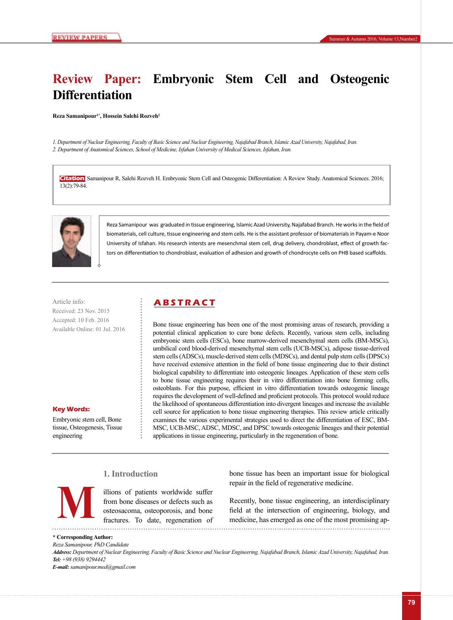# **Review Paper: Embryonic Stem Cell and Osteogenic Differentiation**

**Reza Samanipour1\*, Hossein Salehi Rozveh2**

*1. Department of Nuclear Engineering, Faculty of Basic Science and Nuclear Engineering, Najafabad Branch, Islamic Azad University, Najafabad, Iran. 2. Department of Anatomical Sciences, School of Medicine, Isfahan University of Medical Sciences, Isfahan, Iran.*

**Citation:** Samanipour R, Salehi Rozveh H. Embryonic Stem Cell and Osteogenic Differentiation: A Review Study. Anatomical Sciences. 2016; 13(2):79-84.



Reza Samanipour was graduated in tissue engineering, Islamic Azad University, Najafabad Branch. He works in the field of biomaterials, cell culture, tissue engineering and stem cells. He is the assistant professor of biomaterials in Payam-e Noor University of Isfahan. His research intersts are mesenchmal stem cell, drug delivery, chondroblast, effect of growth factors on differentiation to chondroblast, evaluation of adhesion and growth of chondrocyte cells on PHB based scaffolds.

Article info: **ABSTRACT** Received: 23 Nov. 2015 Accepted: 10 Feb. 2016 Available Online: 01 Jul. 2016

**Key Words:**

Embryonic stem cell, Bone tissue, Osteogenesis, Tissue engineering

Bone tissue engineering has been one of the most promising areas of research, providing a potential clinical application to cure bone defects. Recently, various stem cells, including embryonic stem cells (ESCs), bone marrow-derived mesenchymal stem cells (BM-MSCs), umbilical cord blood-derived mesenchymal stem cells (UCB-MSCs), adipose tissue-derived stem cells (ADSCs), muscle-derived stem cells (MDSCs), and dental pulp stem cells (DPSCs) have received extensive attention in the field of bone tissue engineering due to their distinct biological capability to differentiate into osteogenic lineages. Application of these stem cells to bone tissue engineering requires their in vitro differentiation into bone forming cells, osteoblasts. For this purpose, efficient in vitro differentiation towards osteogenic lineage requires the development of well-defined and proficient protocols. This protocol would reduce the likelihood of spontaneous differentiation into divergent lineages and increase the available cell source for application to bone tissue engineering therapies. This review article critically examines the various experimental strategies used to direct the differentiation of ESC, BM-MSC, UCB-MSC, ADSC, MDSC, and DPSC towards osteogenic lineages and their potential applications in tissue engineering, particularly in the regeneration of bone.

## **1. Introduction**

illions of patients worldwide suffer from bone diseases or defects such as osteosacoma, osteoporosis, and bone fractures. To date, regeneration of bone tissue has been an important issue for biological repair in the field of regenerative medicine.

Recently, bone tissue engineering, an interdisciplinary Figures are interdisciplinary osteosacoma, osteoporosis, and bone<br>fractures. To date, regeneration of medicine, has emerged as one of the most promising ap-

|  | * Corresponding Author: |  |  |
|--|-------------------------|--|--|
|--|-------------------------|--|--|

*Reza Samanipour, PhD Candidate Address: Department of Nuclear Engineering, Faculty of Basic Science and Nuclear Engineering, Najafabad Branch, Islamic Azad University, Najafabad, Iran. Tel: +98 (938) 9294442 E-mail: samanipour.med@gmail.com*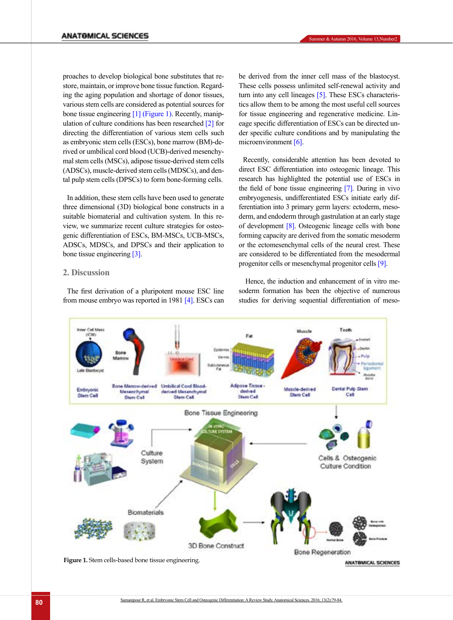proaches to develop biological bone substitutes that restore, maintain, or improve bone tissue function. Regarding the aging population and shortage of donor tissues, various stem cells are considered as potential sources for bone tissue engineering [\[1\]](#page-3-0) [\(Figure 1\).](#page-1-0) Recently, manipulation of culture conditions has been researche[d \[2\]](#page-3-1) for directing the differentiation of various stem cells such as embryonic stem cells (ESCs), bone marrow (BM)-derived or umbilical cord blood (UCB)-derived mesenchymal stem cells (MSCs), adipose tissue-derived stem cells (ADSCs), muscle-derived stem cells (MDSCs), and dental pulp stem cells (DPSCs) to form bone-forming cells.

In addition, these stem cells have been used to generate three dimensional (3D) biological bone constructs in a suitable biomaterial and cultivation system. In this review, we summarize recent culture strategies for osteogenic differentiation of ESCs, BM-MSCs, UCB-MSCs, ADSCs, MDSCs, and DPSCs and their application to bone tissue engineering [\[3\]](#page-3-2).

### **2. Discussion**

The first derivation of a pluripotent mouse ESC line from mouse embryo was reported in 1981 [\[4\].](#page-3-3) ESCs can be derived from the inner cell mass of the blastocyst. These cells possess unlimited self-renewal activity and turn into any cell lineages [\[5\].](#page-4-0) These ESCs characteristics allow them to be among the most useful cell sources for tissue engineering and regenerative medicine. Lineage specific differentiation of ESCs can be directed under specific culture conditions and by manipulating the microenvironment [\[6\].](#page-4-1)

Recently, considerable attention has been devoted to direct ESC differentiation into osteogenic lineage. This research has highlighted the potential use of ESCs in the field of bone tissue engineering [\[7\]](#page-4-2). During in vivo embryogenesis, undifferentiated ESCs initiate early differentiation into 3 primary germ layers: ectoderm, mesoderm, and endoderm through gastrulation at an early stage of development [\[8\]](#page-4-3). Osteogenic lineage cells with bone forming capacity are derived from the somatic mesoderm or the ectomesenchymal cells of the neural crest. These are considered to be differentiated from the mesodermal progenitor cells or mesenchymal progenitor cells [\[9\].](#page-4-4)

Hence, the induction and enhancement of in vitro mesoderm formation has been the objective of numerous studies for deriving sequential differentiation of meso-



<span id="page-1-0"></span>**Figure 1.** Stem cells-based bone tissue engineering.

ANATOMICAL SCIENCES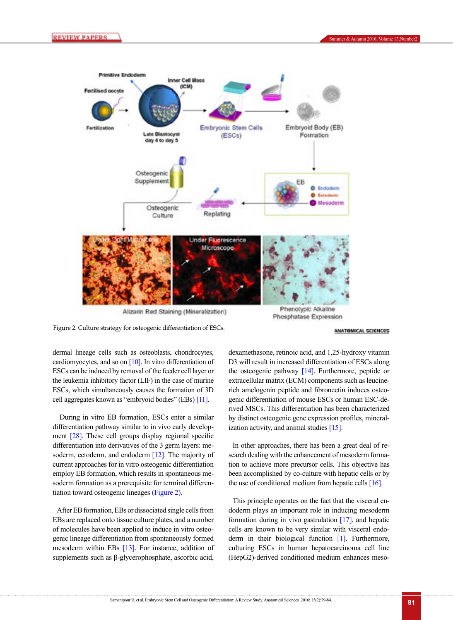

<span id="page-2-0"></span>Figure 2. Culture strategy for osteogenic differentiation of ESCs.

ANATOMICAL SCIENCES

dermal lineage cells such as osteoblasts, chondrocytes, cardiomyocytes, and so on  $[10]$ . In vitro differentiation of ESCs can be induced by removal of the feeder cell layer or the leukemia inhibitory factor (LIF) in the case of murine ESCs, which simultaneously causes the formation of 3D cell aggregates known as "embryoid bodies" (EBs) [\[11\].](#page-4-6)

 During in vitro EB formation, ESCs enter a similar differentiation pathway similar to in vivo early development [\[28\]](#page-4-7). These cell groups display regional specific differentiation into derivatives of the 3 germ layers: me-soderm, ectoderm, and endoderm [\[12\].](#page-4-8) The majority of current approaches for in vitro osteogenic differentiation employ EB formation, which results in spontaneous mesoderm formation as a prerequisite for terminal differentiation toward osteogenic lineages [\(Figure 2\)](#page-2-0).

After EB formation, EBs or dissociated single cells from EBs are replaced onto tissue culture plates, and a number of molecules have been applied to induce in vitro osteogenic lineage differentiation from spontaneously formed mesoderm within EBs [\[13\]](#page-4-9). For instance, addition of supplements such as β-glycerophosphate, ascorbic acid,

dexamethasone, retinoic acid, and 1,25-hydroxy vitamin D3 will result in increased differentiation of ESCs along the osteogenic pathway [\[14\]](#page-4-10). Furthermore, peptide or extracellular matrix (ECM) components such as leucinerich amelogenin peptide and fibronectin induces osteogenic differentiation of mouse ESCs or human ESC-derived MSCs. This differentiation has been characterized by distinct osteogenic gene expression profiles, mineralization activity, and animal studies [\[15\]](#page-4-11).

In other approaches, there has been a great deal of research dealing with the enhancement of mesoderm formation to achieve more precursor cells. This objective has been accomplished by co-culture with hepatic cells or by the use of conditioned medium from hepatic cells  $[16]$ .

This principle operates on the fact that the visceral endoderm plays an important role in inducing mesoderm formation during in vivo gastrulation [\[17\],](#page-4-13) and hepatic cells are known to be very similar with visceral endoderm in their biological function [\[1\]](#page-3-0). Furthermore, culturing ESCs in human hepatocarcinoma cell line (HepG2)-derived conditioned medium enhances meso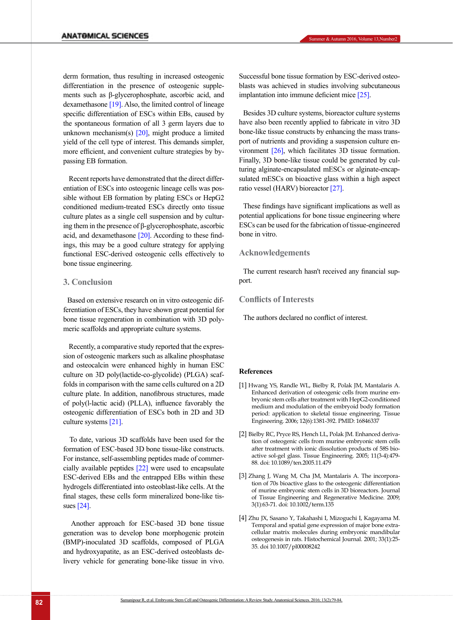derm formation, thus resulting in increased osteogenic differentiation in the presence of osteogenic supplements such as β-glycerophosphate, ascorbic acid, and dexamethasone [\[19\]](#page-4-14). Also, the limited control of lineage specific differentiation of ESCs within EBs, caused by the spontaneous formation of all 3 germ layers due to unknown mechanism(s)  $[20]$ , might produce a limited yield of the cell type of interest. This demands simpler, more efficient, and convenient culture strategies by bypassing EB formation.

 Recent reports have demonstrated that the direct differentiation of ESCs into osteogenic lineage cells was possible without EB formation by plating ESCs or HepG2 conditioned medium-treated ESCs directly onto tissue culture plates as a single cell suspension and by culturing them in the presence of β-glycerophosphate, ascorbic acid, and dexamethasone  $[20]$ . According to these findings, this may be a good culture strategy for applying functional ESC-derived osteogenic cells effectively to bone tissue engineering.

#### **3. Conclusion**

Based on extensive research on in vitro osteogenic differentiation of ESCs, they have shown great potential for bone tissue regeneration in combination with 3D polymeric scaffolds and appropriate culture systems.

 Recently, a comparative study reported that the expression of osteogenic markers such as alkaline phosphatase and osteocalcin were enhanced highly in human ESC culture on 3D poly(lactide-co-glycolide) (PLGA) scaffolds in comparison with the same cells cultured on a 2D culture plate. In addition, nanofibrous structures, made of poly(l-lactic acid) (PLLA), influence favorably the osteogenic differentiation of ESCs both in 2D and 3D culture systems [\[21\]](#page-4-16).

 To date, various 3D scaffolds have been used for the formation of ESC-based 3D bone tissue-like constructs. For instance, self-assembling peptides made of commercially available peptides [\[22\]](#page-4-17) were used to encapsulate ESC-derived EBs and the entrapped EBs within these hydrogels differentiated into osteoblast-like cells. At the final stages, these cells form mineralized bone-like tissues [\[24\]](#page-4-18).

 Another approach for ESC-based 3D bone tissue generation was to develop bone morphogenic protein (BMP)-inoculated 3D scaffolds, composed of PLGA and hydroxyapatite, as an ESC-derived osteoblasts delivery vehicle for generating bone-like tissue in vivo.

blasts was achieved in studies involving subcutaneous

implantation into immune deficient mice [\[25\]](#page-4-19).

Besides 3D culture systems, bioreactor culture systems have also been recently applied to fabricate in vitro 3D bone-like tissue constructs by enhancing the mass transport of nutrients and providing a suspension culture environment [\[26\]](#page-4-20), which facilitates 3D tissue formation. Finally, 3D bone-like tissue could be generated by culturing alginate-encapsulated mESCs or alginate-encapsulated mESCs on bioactive glass within a high aspect ratio vessel (HARV) bioreactor [\[27\].](#page-4-21)

These findings have significant implications as well as potential applications for bone tissue engineering where ESCs can be used for the fabrication of tissue-engineered bone in vitro.

### **Acknowledgements**

The current research hasn't received any financial support.

#### **Conflicts of Interests**

The authors declared no conflict of interest.

#### **References**

- <span id="page-3-0"></span>[1] Hwang YS, Randle WL, Bielby R, Polak JM, Mantalaris A. Enhanced derivation of osteogenic cells from murine embryonic stem cells after treatment with HepG2-conditioned medium and modulation of the embryoid body formation period: application to skeletal tissue engineering. Tissue Engineering. 2006; 12(6):1381-392. PMID: 16846337
- <span id="page-3-1"></span>[2] Bielby RC, Pryce RS, Hench LL, Polak JM. Enhanced derivation of osteogenic cells from murine embryonic stem cells after treatment with ionic dissolution products of 58S bioactive sol-gel glass. Tissue Engineering. 2005; 11(3-4):479- 88. doi: 10.1089/ten.2005.11.479
- <span id="page-3-2"></span>[3] Zhang J, Wang M, Cha JM, Mantalaris A. The incorporation of 70s bioactive glass to the osteogenic differentiation of murine embryonic stem cells in 3D bioreactors. Journal of Tissue Engineering and Regenerative Medicine. 2009; 3(1):63-71. doi: 10.1002/term.135
- <span id="page-3-3"></span>[4] Zhu JX, Sasano Y, Takahashi I, Mizoguchi I, Kagayama M. Temporal and spatial gene expression of major bone extracellular matrix molecules during embryonic mandibular osteogenesis in rats. Histochemical Journal. 2001; 33(1):25- 35. doi 10.1007/pl00008242